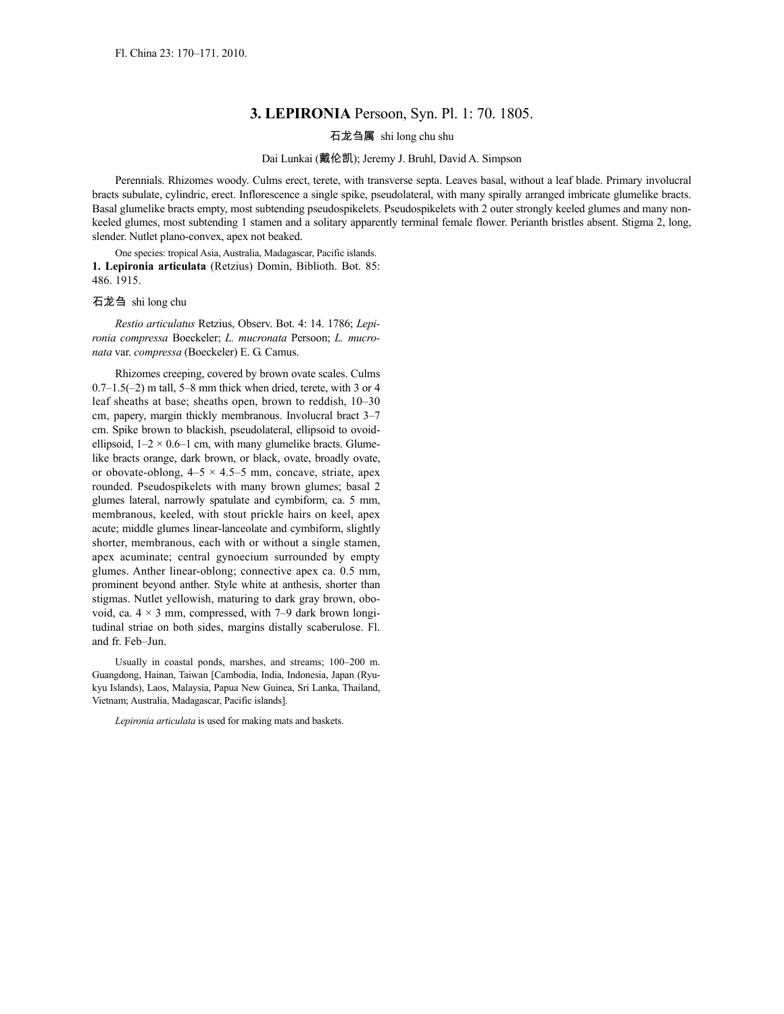## **3. LEPIRONIA** Persoon, Syn. Pl. 1: 70. 1805.

## 石龙刍属 shi long chu shu

## Dai Lunkai (戴伦凯); Jeremy J. Bruhl, David A. Simpson

Perennials. Rhizomes woody. Culms erect, terete, with transverse septa. Leaves basal, without a leaf blade. Primary involucral bracts subulate, cylindric, erect. Inflorescence a single spike, pseudolateral, with many spirally arranged imbricate glumelike bracts. Basal glumelike bracts empty, most subtending pseudospikelets. Pseudospikelets with 2 outer strongly keeled glumes and many nonkeeled glumes, most subtending 1 stamen and a solitary apparently terminal female flower. Perianth bristles absent. Stigma 2, long, slender. Nutlet plano-convex, apex not beaked.

One species: tropical Asia, Australia, Madagascar, Pacific islands. **1. Lepironia articulata** (Retzius) Domin, Biblioth. Bot. 85: 486. 1915.

石龙刍 shi long chu

*Restio articulatus* Retzius, Observ. Bot. 4: 14. 1786; *Lepironia compressa* Boeckeler; *L. mucronata* Persoon; *L. mucronata* var. *compressa* (Boeckeler) E. G. Camus.

Rhizomes creeping, covered by brown ovate scales. Culms  $0.7-1.5(-2)$  m tall, 5–8 mm thick when dried, terete, with 3 or 4 leaf sheaths at base; sheaths open, brown to reddish, 10–30 cm, papery, margin thickly membranous. Involucral bract 3–7 cm. Spike brown to blackish, pseudolateral, ellipsoid to ovoidellipsoid,  $1-2 \times 0.6-1$  cm, with many glumelike bracts. Glumelike bracts orange, dark brown, or black, ovate, broadly ovate, or obovate-oblong,  $4-5 \times 4.5-5$  mm, concave, striate, apex rounded. Pseudospikelets with many brown glumes; basal 2 glumes lateral, narrowly spatulate and cymbiform, ca. 5 mm, membranous, keeled, with stout prickle hairs on keel, apex acute; middle glumes linear-lanceolate and cymbiform, slightly shorter, membranous, each with or without a single stamen, apex acuminate; central gynoecium surrounded by empty glumes. Anther linear-oblong; connective apex ca. 0.5 mm, prominent beyond anther. Style white at anthesis, shorter than stigmas. Nutlet yellowish, maturing to dark gray brown, obovoid, ca.  $4 \times 3$  mm, compressed, with 7–9 dark brown longitudinal striae on both sides, margins distally scaberulose. Fl. and fr. Feb–Jun.

Usually in coastal ponds, marshes, and streams; 100–200 m. Guangdong, Hainan, Taiwan [Cambodia, India, Indonesia, Japan (Ryukyu Islands), Laos, Malaysia, Papua New Guinea, Sri Lanka, Thailand, Vietnam; Australia, Madagascar, Pacific islands].

*Lepironia articulata* is used for making mats and baskets.